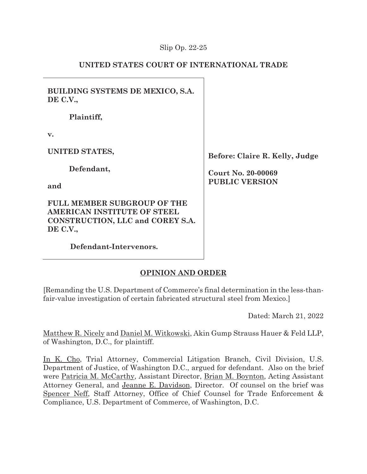## Slip Op. 22-25

# **UNITED STATES COURT OF INTERNATIONAL TRADE**

**BUILDING SYSTEMS DE MEXICO, S.A. DE C.V.,** 

**Plaintiff,** 

**v.** 

**UNITED STATES,** 

**Defendant,** 

**and** 

**FULL MEMBER SUBGROUP OF THE AMERICAN INSTITUTE OF STEEL CONSTRUCTION, LLC and COREY S.A. DE C.V.,** 

**Defendant-Intervenors.** 

**Before: Claire R. Kelly, Judge** 

**Court No. 20-00069 PUBLIC VERSION** 

# **OPINION AND ORDER**

[Remanding the U.S. Department of Commerce's final determination in the less-thanfair-value investigation of certain fabricated structural steel from Mexico.]

Dated: March 21, 2022

Matthew R. Nicely and Daniel M. Witkowski, Akin Gump Strauss Hauer & Feld LLP, of Washington, D.C., for plaintiff.

In K. Cho, Trial Attorney, Commercial Litigation Branch, Civil Division, U.S. Department of Justice, of Washington D.C., argued for defendant. Also on the brief were Patricia M. McCarthy, Assistant Director, Brian M. Boynton, Acting Assistant Attorney General, and Jeanne E. Davidson, Director. Of counsel on the brief was Spencer Neff, Staff Attorney, Office of Chief Counsel for Trade Enforcement & Compliance, U.S. Department of Commerce, of Washington, D.C.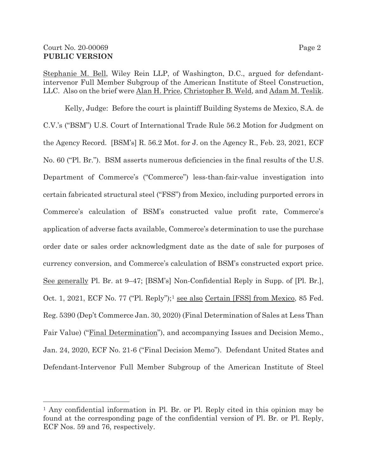Stephanie M. Bell, Wiley Rein LLP, of Washington, D.C., argued for defendantintervenor Full Member Subgroup of the American Institute of Steel Construction, LLC. Also on the brief were Alan H. Price, Christopher B. Weld, and Adam M. Teslik.

Kelly, Judge: Before the court is plaintiff Building Systems de Mexico, S.A. de C.V.'s ("BSM") U.S. Court of International Trade Rule 56.2 Motion for Judgment on the Agency Record. [BSM's] R. 56.2 Mot. for J. on the Agency R., Feb. 23, 2021, ECF No. 60 ("Pl. Br."). BSM asserts numerous deficiencies in the final results of the U.S. Department of Commerce's ("Commerce") less-than-fair-value investigation into certain fabricated structural steel ("FSS") from Mexico, including purported errors in Commerce's calculation of BSM's constructed value profit rate, Commerce's application of adverse facts available, Commerce's determination to use the purchase order date or sales order acknowledgment date as the date of sale for purposes of currency conversion, and Commerce's calculation of BSM's constructed export price. See generally Pl. Br. at 9–47; [BSM's] Non-Confidential Reply in Supp. of [Pl. Br.], Oct. 1, 2021, ECF No. 77 ("Pl. Reply");<sup>1</sup> see also Certain [FSS] from Mexico, 85 Fed. Reg. 5390 (Dep't Commerce Jan. 30, 2020) (Final Determination of Sales at Less Than Fair Value) ("Final Determination"), and accompanying Issues and Decision Memo., Jan. 24, 2020, ECF No. 21-6 ("Final Decision Memo"). Defendant United States and Defendant-Intervenor Full Member Subgroup of the American Institute of Steel

<sup>1</sup> Any confidential information in Pl. Br. or Pl. Reply cited in this opinion may be found at the corresponding page of the confidential version of Pl. Br. or Pl. Reply, ECF Nos. 59 and 76, respectively.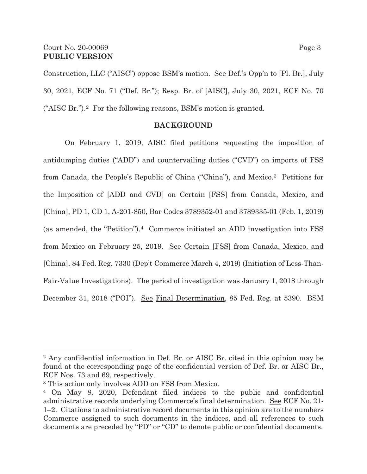Construction, LLC ("AISC") oppose BSM's motion. <u>See</u> Def.'s Opp'n to [Pl. Br.], July 30, 2021, ECF No. 71 ("Def. Br."); Resp. Br. of [AISC], July 30, 2021, ECF No. 70 ("AISC Br.").2 For the following reasons, BSM's motion is granted.

### **BACKGROUND**

 On February 1, 2019, AISC filed petitions requesting the imposition of antidumping duties ("ADD") and countervailing duties ("CVD") on imports of FSS from Canada, the People's Republic of China ("China"), and Mexico.3 Petitions for the Imposition of [ADD and CVD] on Certain [FSS] from Canada, Mexico, and [China], PD 1, CD 1, A-201-850, Bar Codes 3789352-01 and 3789335-01 (Feb. 1, 2019) (as amended, the "Petition").4 Commerce initiated an ADD investigation into FSS from Mexico on February 25, 2019. See Certain [FSS] from Canada, Mexico, and [China], 84 Fed. Reg. 7330 (Dep't Commerce March 4, 2019) (Initiation of Less-Than-Fair-Value Investigations). The period of investigation was January 1, 2018 through December 31, 2018 ("POI"). See Final Determination, 85 Fed. Reg. at 5390. BSM

 $\overline{a}$ 

<sup>2</sup> Any confidential information in Def. Br. or AISC Br. cited in this opinion may be found at the corresponding page of the confidential version of Def. Br. or AISC Br., ECF Nos. 73 and 69, respectively.

<sup>3</sup> This action only involves ADD on FSS from Mexico.

<sup>4</sup> On May 8, 2020, Defendant filed indices to the public and confidential administrative records underlying Commerce's final determination. See ECF No. 21-1–2. Citations to administrative record documents in this opinion are to the numbers Commerce assigned to such documents in the indices, and all references to such documents are preceded by "PD" or "CD" to denote public or confidential documents.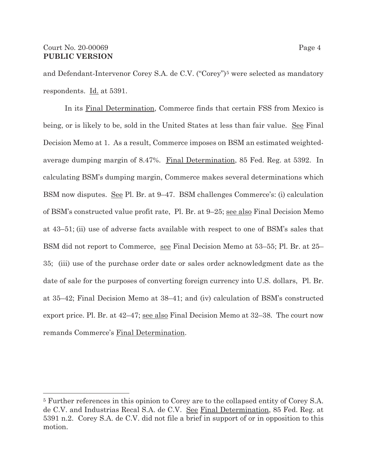and Defendant-Intervenor Corey S.A. de C.V. ("Corey")<sup>5</sup> were selected as mandatory respondents. Id. at 5391.

 In its Final Determination, Commerce finds that certain FSS from Mexico is being, or is likely to be, sold in the United States at less than fair value. See Final Decision Memo at 1. As a result, Commerce imposes on BSM an estimated weightedaverage dumping margin of 8.47%. Final Determination, 85 Fed. Reg. at 5392. In calculating BSM's dumping margin, Commerce makes several determinations which BSM now disputes. See Pl. Br. at 9–47. BSM challenges Commerce's: (i) calculation of BSM's constructed value profit rate, Pl. Br. at 9–25; see also Final Decision Memo at 43–51; (ii) use of adverse facts available with respect to one of BSM's sales that BSM did not report to Commerce, see Final Decision Memo at 53–55; Pl. Br. at 25– 35; (iii) use of the purchase order date or sales order acknowledgment date as the date of sale for the purposes of converting foreign currency into U.S. dollars, Pl. Br. at 35–42; Final Decision Memo at 38–41; and (iv) calculation of BSM's constructed export price. Pl. Br. at 42–47; see also Final Decision Memo at 32–38. The court now remands Commerce's Final Determination.

<sup>5</sup> Further references in this opinion to Corey are to the collapsed entity of Corey S.A. de C.V. and Industrias Recal S.A. de C.V. See Final Determination, 85 Fed. Reg. at 5391 n.2. Corey S.A. de C.V. did not file a brief in support of or in opposition to this motion.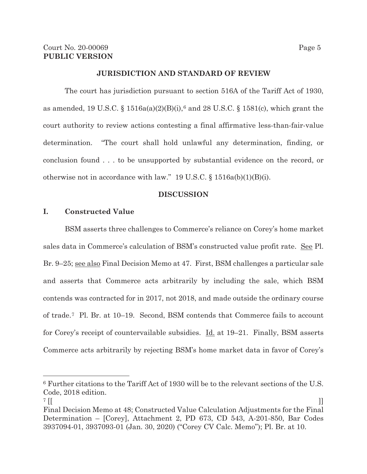#### **JURISDICTION AND STANDARD OF REVIEW**

 The court has jurisdiction pursuant to section 516A of the Tariff Act of 1930, as amended, 19 U.S.C. §  $1516a(a)(2)(B)(i)$ ,  $6$  and 28 U.S.C. § 1581(c), which grant the court authority to review actions contesting a final affirmative less-than-fair-value determination. "The court shall hold unlawful any determination, finding, or conclusion found . . . to be unsupported by substantial evidence on the record, or otherwise not in accordance with law." 19 U.S.C. § 1516a(b)(1)(B)(i).

#### **DISCUSSION**

### **I. Constructed Value**

BSM asserts three challenges to Commerce's reliance on Corey's home market sales data in Commerce's calculation of BSM's constructed value profit rate. See Pl. Br. 9–25; <u>see also</u> Final Decision Memo at 47. First, BSM challenges a particular sale and asserts that Commerce acts arbitrarily by including the sale, which BSM contends was contracted for in 2017, not 2018, and made outside the ordinary course of trade.7 Pl. Br. at 10–19. Second, BSM contends that Commerce fails to account for Corey's receipt of countervailable subsidies. <u>Id.</u> at 19–21. Finally, BSM asserts Commerce acts arbitrarily by rejecting BSM's home market data in favor of Corey's

 $\overline{a}$ 

<sup>6</sup> Further citations to the Tariff Act of 1930 will be to the relevant sections of the U.S. Code, 2018 edition.

 $7$  [[  $\Box$ 

Final Decision Memo at 48; Constructed Value Calculation Adjustments for the Final Determination – [Corey], Attachment 2, PD 673, CD 543, A-201-850, Bar Codes 3937094-01, 3937093-01 (Jan. 30, 2020) ("Corey CV Calc. Memo"); Pl. Br. at 10.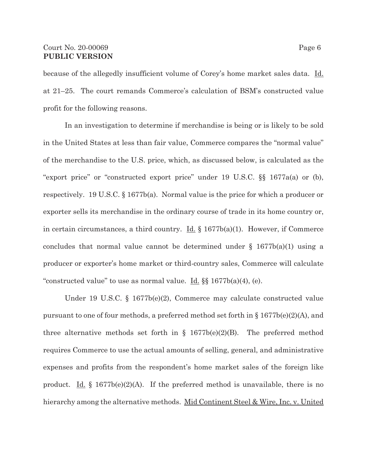### Court No. 20-00069 Page 6 **PUBLIC VERSION**

because of the allegedly insufficient volume of Corey's home market sales data. Id. at 21–25. The court remands Commerce's calculation of BSM's constructed value profit for the following reasons.

In an investigation to determine if merchandise is being or is likely to be sold in the United States at less than fair value, Commerce compares the "normal value" of the merchandise to the U.S. price, which, as discussed below, is calculated as the "export price" or "constructed export price" under 19 U.S.C. §§ 1677a(a) or (b), respectively. 19 U.S.C. § 1677b(a). Normal value is the price for which a producer or exporter sells its merchandise in the ordinary course of trade in its home country or, in certain circumstances, a third country. <u>Id.</u>  $\S$  1677b(a)(1). However, if Commerce concludes that normal value cannot be determined under  $\S$  1677b(a)(1) using a producer or exporter's home market or third-country sales, Commerce will calculate "constructed value" to use as normal value. <u>Id.</u>  $\S$   $1677b$ (a)(4), (e).

Under 19 U.S.C. § 1677b(e)(2), Commerce may calculate constructed value pursuant to one of four methods, a preferred method set forth in § 1677b(e)(2)(A), and three alternative methods set forth in  $\S$  1677b(e)(2)(B). The preferred method requires Commerce to use the actual amounts of selling, general, and administrative expenses and profits from the respondent's home market sales of the foreign like product. Id.  $\S$  1677b(e)(2)(A). If the preferred method is unavailable, there is no hierarchy among the alternative methods. Mid Continent Steel & Wire, Inc. v. United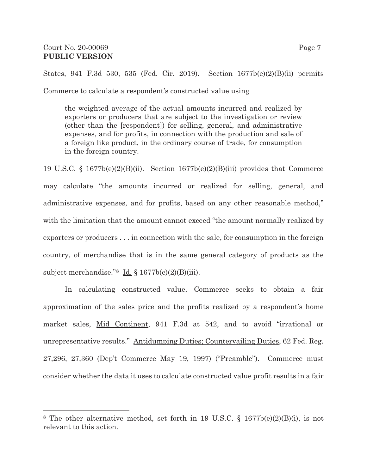States, 941 F.3d 530, 535 (Fed. Cir. 2019). Section 1677b(e)(2)(B)(ii) permits Commerce to calculate a respondent's constructed value using

the weighted average of the actual amounts incurred and realized by exporters or producers that are subject to the investigation or review (other than the [respondent]) for selling, general, and administrative expenses, and for profits, in connection with the production and sale of a foreign like product, in the ordinary course of trade, for consumption in the foreign country.

19 U.S.C. § 1677b(e)(2)(B)(ii). Section 1677b(e)(2)(B)(iii) provides that Commerce may calculate "the amounts incurred or realized for selling, general, and administrative expenses, and for profits, based on any other reasonable method," with the limitation that the amount cannot exceed "the amount normally realized by exporters or producers . . . in connection with the sale, for consumption in the foreign country, of merchandise that is in the same general category of products as the subject merchandise." $8 \underline{Id}$ . § 1677b(e)(2)(B)(iii).

In calculating constructed value, Commerce seeks to obtain a fair approximation of the sales price and the profits realized by a respondent's home market sales, Mid Continent, 941 F.3d at 542, and to avoid "irrational or unrepresentative results." Antidumping Duties; Countervailing Duties, 62 Fed. Reg. 27,296, 27,360 (Dep't Commerce May 19, 1997) ("Preamble"). Commerce must consider whether the data it uses to calculate constructed value profit results in a fair

<sup>8</sup> The other alternative method, set forth in 19 U.S.C. § 1677b(e)(2)(B)(i), is not relevant to this action.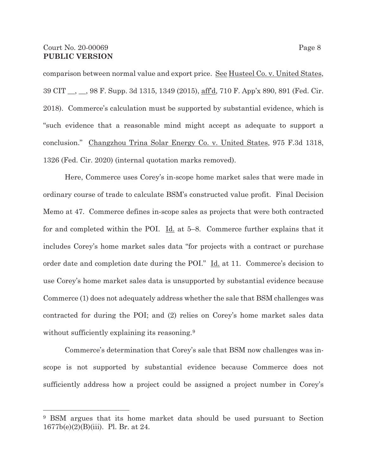comparison between normal value and export price. <u>See Husteel Co. v. United States</u>, 39 CIT <sub>\_\_</sub>, \_\_, 98 F. Supp. 3d 1315, 1349 (2015), <u>aff<sup>'</sup>d</u>, 710 F. App'x 890, 891 (Fed. Cir. 2018). Commerce's calculation must be supported by substantial evidence, which is "such evidence that a reasonable mind might accept as adequate to support a conclusion." Changzhou Trina Solar Energy Co. v. United States, 975 F.3d 1318, 1326 (Fed. Cir. 2020) (internal quotation marks removed).

Here, Commerce uses Corey's in-scope home market sales that were made in ordinary course of trade to calculate BSM's constructed value profit. Final Decision Memo at 47. Commerce defines in-scope sales as projects that were both contracted for and completed within the POI. Id. at 5–8. Commerce further explains that it includes Corey's home market sales data "for projects with a contract or purchase order date and completion date during the POI." Id. at 11. Commerce's decision to use Corey's home market sales data is unsupported by substantial evidence because Commerce (1) does not adequately address whether the sale that BSM challenges was contracted for during the POI; and (2) relies on Corey's home market sales data without sufficiently explaining its reasoning.<sup>9</sup>

Commerce's determination that Corey's sale that BSM now challenges was inscope is not supported by substantial evidence because Commerce does not sufficiently address how a project could be assigned a project number in Corey's

<sup>9</sup> BSM argues that its home market data should be used pursuant to Section 1677b(e)(2)(B)(iii). Pl. Br. at 24.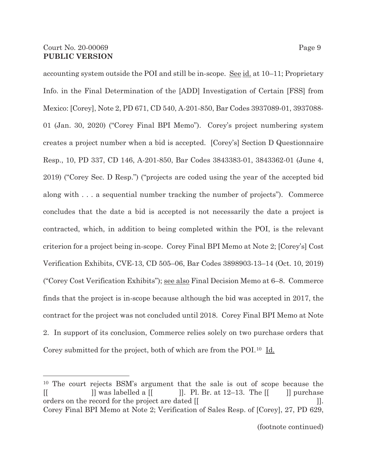accounting system outside the POI and still be in-scope. <u>See id.</u> at 10–11; Proprietary Info. in the Final Determination of the [ADD] Investigation of Certain [FSS] from Mexico: [Corey], Note 2, PD 671, CD 540, A-201-850, Bar Codes 3937089-01, 3937088- 01 (Jan. 30, 2020) ("Corey Final BPI Memo"). Corey's project numbering system creates a project number when a bid is accepted. [Corey's] Section D Questionnaire Resp., 10, PD 337, CD 146, A-201-850, Bar Codes 3843383-01, 3843362-01 (June 4, 2019) ("Corey Sec. D Resp.") ("projects are coded using the year of the accepted bid along with . . . a sequential number tracking the number of projects"). Commerce concludes that the date a bid is accepted is not necessarily the date a project is contracted, which, in addition to being completed within the POI, is the relevant criterion for a project being in-scope. Corey Final BPI Memo at Note 2; [Corey's] Cost Verification Exhibits, CVE-13, CD 505–06, Bar Codes 3898903-13–14 (Oct. 10, 2019) ("Corey Cost Verification Exhibits"); see also Final Decision Memo at 6–8. Commerce finds that the project is in-scope because although the bid was accepted in 2017, the contract for the project was not concluded until 2018. Corey Final BPI Memo at Note 2. In support of its conclusion, Commerce relies solely on two purchase orders that Corey submitted for the project, both of which are from the POI.<sup>10</sup> Id.

<sup>10</sup> The court rejects BSM's argument that the sale is out of scope because the  $\begin{bmatrix} \begin{bmatrix} \end{bmatrix}$  was labelled a  $\begin{bmatrix} \end{bmatrix}$ . Pl. Br. at 12–13. The  $\begin{bmatrix} \end{bmatrix}$  purchase orders on the record for the project are dated [[ ]]. Corey Final BPI Memo at Note 2; Verification of Sales Resp. of [Corey], 27, PD 629,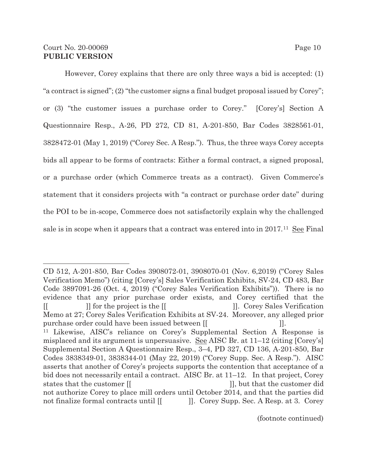However, Corey explains that there are only three ways a bid is accepted: (1) "a contract is signed"; (2) "the customer signs a final budget proposal issued by Corey"; or (3) "the customer issues a purchase order to Corey." [Corey's] Section A Questionnaire Resp., A-26, PD 272, CD 81, A-201-850, Bar Codes 3828561-01, 3828472-01 (May 1, 2019) ("Corey Sec. A Resp."). Thus, the three ways Corey accepts bids all appear to be forms of contracts: Either a formal contract, a signed proposal, or a purchase order (which Commerce treats as a contract). Given Commerce's statement that it considers projects with "a contract or purchase order date" during the POI to be in-scope, Commerce does not satisfactorily explain why the challenged sale is in scope when it appears that a contract was entered into in  $2017<sup>11</sup>$  See Final

CD 512, A-201-850, Bar Codes 3908072-01, 3908070-01 (Nov. 6,2019) ("Corey Sales Verification Memo") (citing [Corey's] Sales Verification Exhibits, SV-24, CD 483, Bar Code 3897091-26 (Oct. 4, 2019) ("Corey Sales Verification Exhibits")). There is no evidence that any prior purchase order exists, and Corey certified that the [[ ]] for the project is the  $\lfloor \lfloor \frac{1}{2} \rfloor$  [ ]]. Corey Sales Verification Memo at 27; Corey Sales Verification Exhibits at SV-24. Moreover, any alleged prior purchase order could have been issued between [[  $\qquad$  ]]. 11 Likewise, AISC's reliance on Corey's Supplemental Section A Response is misplaced and its argument is unpersuasive. See AISC Br. at  $11-12$  (citing [Corey's] Supplemental Section A Questionnaire Resp., 3–4, PD 327, CD 136, A-201-850, Bar Codes 3838349-01, 3838344-01 (May 22, 2019) ("Corey Supp. Sec. A Resp."). AISC asserts that another of Corey's projects supports the contention that acceptance of a bid does not necessarily entail a contract. AISC Br. at 11–12. In that project, Corey states that the customer  $\begin{bmatrix} \end{bmatrix}$ , but that the customer did not authorize Corey to place mill orders until October 2014, and that the parties did not finalize formal contracts until  $\begin{bmatrix} \end{bmatrix}$ . Corey Supp. Sec. A Resp. at 3. Corey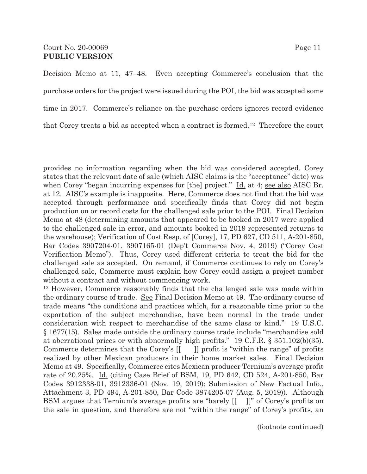Decision Memo at 11, 47–48. Even accepting Commerce's conclusion that the purchase orders for the project were issued during the POI, the bid was accepted some time in 2017. Commerce's reliance on the purchase orders ignores record evidence that Corey treats a bid as accepted when a contract is formed.12 Therefore the court

provides no information regarding when the bid was considered accepted. Corey states that the relevant date of sale (which AISC claims is the "acceptance" date) was when Corey "began incurring expenses for [the] project." Id. at 4; see also AISC Br. at 12. AISC's example is inapposite. Here, Commerce does not find that the bid was accepted through performance and specifically finds that Corey did not begin production on or record costs for the challenged sale prior to the POI. Final Decision Memo at 48 (determining amounts that appeared to be booked in 2017 were applied to the challenged sale in error, and amounts booked in 2019 represented returns to the warehouse); Verification of Cost Resp. of [Corey], 17, PD 627, CD 511, A-201-850, Bar Codes 3907204-01, 3907165-01 (Dep't Commerce Nov. 4, 2019) ("Corey Cost Verification Memo"). Thus, Corey used different criteria to treat the bid for the challenged sale as accepted. On remand, if Commerce continues to rely on Corey's challenged sale, Commerce must explain how Corey could assign a project number without a contract and without commencing work.

<sup>12</sup> However, Commerce reasonably finds that the challenged sale was made within the ordinary course of trade. See Final Decision Memo at 49. The ordinary course of trade means "the conditions and practices which, for a reasonable time prior to the exportation of the subject merchandise, have been normal in the trade under consideration with respect to merchandise of the same class or kind." 19 U.S.C. § 1677(15). Sales made outside the ordinary course trade include "merchandise sold at aberrational prices or with abnormally high profits." 19 C.F.R. § 351.102(b)(35). Commerce determines that the Corey's  $\begin{bmatrix} \cdot \\ \cdot \end{bmatrix}$  profit is "within the range" of profits realized by other Mexican producers in their home market sales. Final Decision Memo at 49. Specifically, Commerce cites Mexican producer Ternium's average profit rate of 20.25%. Id. (citing Case Brief of BSM, 19, PD 642, CD 524, A-201-850, Bar Codes 3912338-01, 3912336-01 (Nov. 19, 2019); Submission of New Factual Info., Attachment 3, PD 494, A-201-850, Bar Code 3874205-07 (Aug. 5, 2019)). Although BSM argues that Ternium's average profits are "barely [[ ]]" of Corey's profits on the sale in question, and therefore are not "within the range" of Corey's profits, an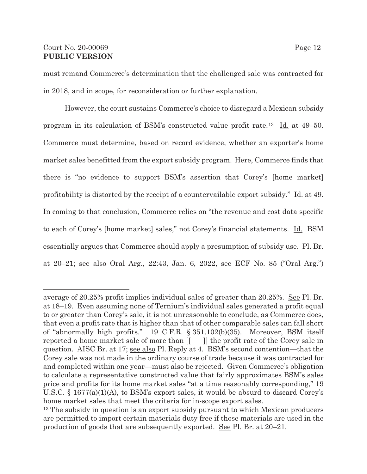## Court No. 20-00069 Page 12 **PUBLIC VERSION**

 $\overline{a}$ 

must remand Commerce's determination that the challenged sale was contracted for in 2018, and in scope, for reconsideration or further explanation.

However, the court sustains Commerce's choice to disregard a Mexican subsidy program in its calculation of BSM's constructed value profit rate.<sup>13</sup> Id. at 49–50. Commerce must determine, based on record evidence, whether an exporter's home market sales benefitted from the export subsidy program. Here, Commerce finds that there is "no evidence to support BSM's assertion that Corey's [home market] profitability is distorted by the receipt of a countervailable export subsidy." Id. at 49. In coming to that conclusion, Commerce relies on "the revenue and cost data specific to each of Corey's [home market] sales," not Corey's financial statements. Id. BSM essentially argues that Commerce should apply a presumption of subsidy use. Pl. Br. at 20–21; see also Oral Arg., 22:43, Jan. 6, 2022, see ECF No. 85 ("Oral Arg.")

average of 20.25% profit implies individual sales of greater than 20.25%. See Pl. Br. at 18–19. Even assuming none of Ternium's individual sales generated a profit equal to or greater than Corey's sale, it is not unreasonable to conclude, as Commerce does, that even a profit rate that is higher than that of other comparable sales can fall short of "abnormally high profits." 19 C.F.R. § 351.102(b)(35). Moreover, BSM itself reported a home market sale of more than  $\begin{bmatrix} \cdot & \cdot \\ \cdot & \cdot \end{bmatrix}$  the profit rate of the Corey sale in question. AISC Br. at 17; see also Pl. Reply at 4. BSM's second contention—that the Corey sale was not made in the ordinary course of trade because it was contracted for and completed within one year—must also be rejected. Given Commerce's obligation to calculate a representative constructed value that fairly approximates BSM's sales price and profits for its home market sales "at a time reasonably corresponding," 19 U.S.C. § 1677(a)(1)(A), to BSM's export sales, it would be absurd to discard Corey's home market sales that meet the criteria for in-scope export sales.

<sup>&</sup>lt;sup>13</sup> The subsidy in question is an export subsidy pursuant to which Mexican producers are permitted to import certain materials duty free if those materials are used in the production of goods that are subsequently exported. See Pl. Br. at 20–21.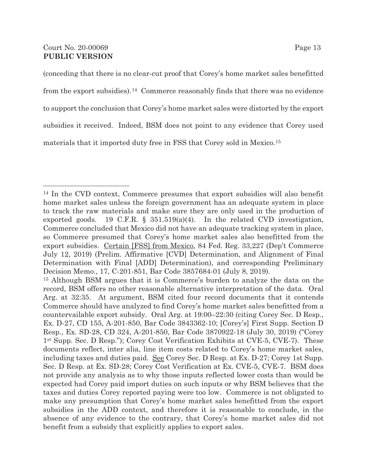(conceding that there is no clear-cut proof that Corey's home market sales benefitted from the export subsidies).14 Commerce reasonably finds that there was no evidence to support the conclusion that Corey's home market sales were distorted by the export subsidies it received. Indeed, BSM does not point to any evidence that Corey used materials that it imported duty free in FSS that Corey sold in Mexico.15

<sup>14</sup> In the CVD context, Commerce presumes that export subsidies will also benefit home market sales unless the foreign government has an adequate system in place to track the raw materials and make sure they are only used in the production of exported goods. 19 C.F.R.  $\S$  351.519(a)(4). In the related CVD investigation, Commerce concluded that Mexico did not have an adequate tracking system in place, so Commerce presumed that Corey's home market sales also benefitted from the export subsidies. Certain [FSS] from Mexico, 84 Fed. Reg. 33,227 (Dep't Commerce July 12, 2019) (Prelim. Affirmative [CVD] Determination, and Alignment of Final Determination with Final [ADD] Determination), and corresponding Preliminary Decision Memo., 17, C-201-851, Bar Code 3857684-01 (July 8, 2019).

<sup>15</sup> Although BSM argues that it is Commerce's burden to analyze the data on the record, BSM offers no other reasonable alternative interpretation of the data. Oral Arg. at 32:35. At argument, BSM cited four record documents that it contends Commerce should have analyzed to find Corey's home market sales benefitted from a countervailable export subsidy. Oral Arg. at 19:00–22:30 (citing Corey Sec. D Resp., Ex. D-27, CD 155, A-201-850, Bar Code 3843362-10; [Corey's] First Supp. Section D Resp., Ex. SD-28, CD 324, A-201-850, Bar Code 3870922-18 (July 30, 2019) ("Corey 1st Supp. Sec. D Resp."); Corey Cost Verification Exhibits at CVE-5, CVE-7). These documents reflect, inter alia, line item costs related to Corey's home market sales, including taxes and duties paid. See Corey Sec. D Resp. at Ex. D-27; Corey 1st Supp. Sec. D Resp. at Ex. SD-28; Corey Cost Verification at Ex. CVE-5, CVE-7. BSM does not provide any analysis as to why those inputs reflected lower costs than would be expected had Corey paid import duties on such inputs or why BSM believes that the taxes and duties Corey reported paying were too low. Commerce is not obligated to make any presumption that Corey's home market sales benefitted from the export subsidies in the ADD context, and therefore it is reasonable to conclude, in the absence of any evidence to the contrary, that Corey's home market sales did not benefit from a subsidy that explicitly applies to export sales.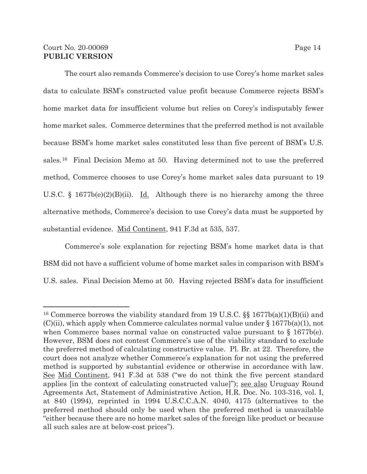## Court No. 20-00069 Page 14 **PUBLIC VERSION**

 $\overline{a}$ 

The court also remands Commerce's decision to use Corey's home market sales data to calculate BSM's constructed value profit because Commerce rejects BSM's home market data for insufficient volume but relies on Corey's indisputably fewer home market sales. Commerce determines that the preferred method is not available because BSM's home market sales constituted less than five percent of BSM's U.S. sales.16 Final Decision Memo at 50. Having determined not to use the preferred method, Commerce chooses to use Corey's home market sales data pursuant to 19 U.S.C. § 1677b(e)(2)(B)(ii). Id. Although there is no hierarchy among the three alternative methods, Commerce's decision to use Corey's data must be supported by substantial evidence. Mid Continent, 941 F.3d at 535, 537.

 Commerce's sole explanation for rejecting BSM's home market data is that BSM did not have a sufficient volume of home market sales in comparison with BSM's U.S. sales. Final Decision Memo at 50. Having rejected BSM's data for insufficient

<sup>&</sup>lt;sup>16</sup> Commerce borrows the viability standard from 19 U.S.C. §§ 1677b(a)(1)(B)(ii) and  $(C)(ii)$ , which apply when Commerce calculates normal value under § 1677b(a)(1), not when Commerce bases normal value on constructed value pursuant to § 1677b(e). However, BSM does not contest Commerce's use of the viability standard to exclude the preferred method of calculating constructive value. Pl. Br. at 22. Therefore, the court does not analyze whether Commerce's explanation for not using the preferred method is supported by substantial evidence or otherwise in accordance with law. See Mid Continent, 941 F.3d at 538 ("we do not think the five percent standard applies [in the context of calculating constructed value]"); see also Uruguay Round Agreements Act, Statement of Administrative Action, H.R. Doc. No. 103-316, vol. I, at 840 (1994), reprinted in 1994 U.S.C.C.A.N. 4040, 4175 (alternatives to the preferred method should only be used when the preferred method is unavailable "either because there are no home market sales of the foreign like product or because all such sales are at below-cost prices").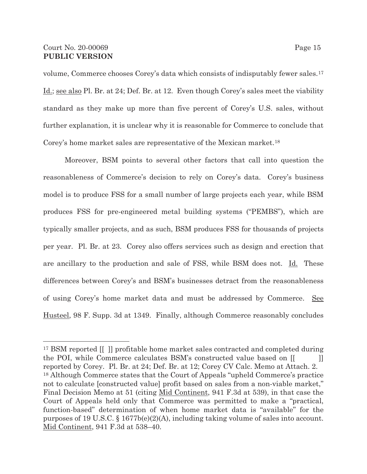## Court No. 20-00069 Page 15 **PUBLIC VERSION**

 $\overline{a}$ 

volume, Commerce chooses Corey's data which consists of indisputably fewer sales.17 Id.; see also Pl. Br. at 24; Def. Br. at 12. Even though Corey's sales meet the viability standard as they make up more than five percent of Corey's U.S. sales, without further explanation, it is unclear why it is reasonable for Commerce to conclude that Corey's home market sales are representative of the Mexican market.18

Moreover, BSM points to several other factors that call into question the reasonableness of Commerce's decision to rely on Corey's data. Corey's business model is to produce FSS for a small number of large projects each year, while BSM produces FSS for pre-engineered metal building systems ("PEMBS"), which are typically smaller projects, and as such, BSM produces FSS for thousands of projects per year. Pl. Br. at 23. Corey also offers services such as design and erection that are ancillary to the production and sale of FSS, while BSM does not. Id. These differences between Corey's and BSM's businesses detract from the reasonableness of using Corey's home market data and must be addressed by Commerce. See Husteel, 98 F. Supp. 3d at 1349. Finally, although Commerce reasonably concludes

<sup>17</sup> BSM reported [[ ]] profitable home market sales contracted and completed during the POI, while Commerce calculates BSM's constructed value based on  $\begin{bmatrix} \begin{bmatrix} \end{bmatrix} \end{bmatrix}$ reported by Corey. Pl. Br. at 24; Def. Br. at 12; Corey CV Calc. Memo at Attach. 2. 18 Although Commerce states that the Court of Appeals "upheld Commerce's practice not to calculate [constructed value] profit based on sales from a non-viable market," Final Decision Memo at 51 (citing Mid Continent, 941 F.3d at 539), in that case the Court of Appeals held only that Commerce was permitted to make a "practical, function-based" determination of when home market data is "available" for the purposes of 19 U.S.C. § 1677b(e)(2)(A), including taking volume of sales into account. Mid Continent, 941 F.3d at 538–40.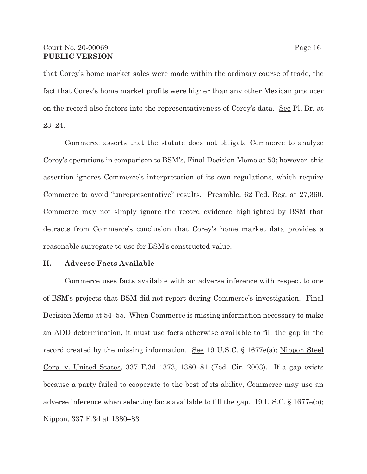### Court No. 20-00069 Page 16 **PUBLIC VERSION**

that Corey's home market sales were made within the ordinary course of trade, the fact that Corey's home market profits were higher than any other Mexican producer on the record also factors into the representativeness of Corey's data. See Pl. Br. at 23–24.

Commerce asserts that the statute does not obligate Commerce to analyze Corey's operations in comparison to BSM's, Final Decision Memo at 50; however, this assertion ignores Commerce's interpretation of its own regulations, which require Commerce to avoid "unrepresentative" results. Preamble, 62 Fed. Reg. at 27,360. Commerce may not simply ignore the record evidence highlighted by BSM that detracts from Commerce's conclusion that Corey's home market data provides a reasonable surrogate to use for BSM's constructed value.

### **II. Adverse Facts Available**

Commerce uses facts available with an adverse inference with respect to one of BSM's projects that BSM did not report during Commerce's investigation. Final Decision Memo at 54–55. When Commerce is missing information necessary to make an ADD determination, it must use facts otherwise available to fill the gap in the record created by the missing information. <u>See</u> 19 U.S.C. § 1677e(a); Nippon Steel Corp. v. United States, 337 F.3d 1373, 1380–81 (Fed. Cir. 2003). If a gap exists because a party failed to cooperate to the best of its ability, Commerce may use an adverse inference when selecting facts available to fill the gap. 19 U.S.C. § 1677e(b); Nippon, 337 F.3d at 1380–83.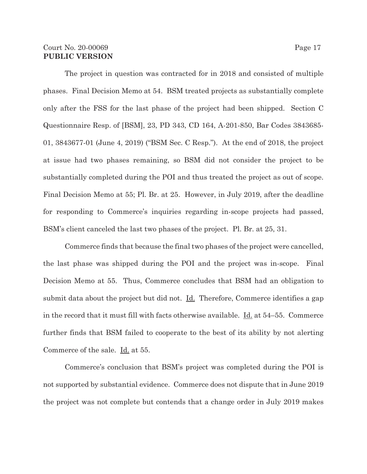### Court No. 20-00069 Page 17 **PUBLIC VERSION**

The project in question was contracted for in 2018 and consisted of multiple phases. Final Decision Memo at 54. BSM treated projects as substantially complete only after the FSS for the last phase of the project had been shipped. Section C Questionnaire Resp. of [BSM], 23, PD 343, CD 164, A-201-850, Bar Codes 3843685- 01, 3843677-01 (June 4, 2019) ("BSM Sec. C Resp."). At the end of 2018, the project at issue had two phases remaining, so BSM did not consider the project to be substantially completed during the POI and thus treated the project as out of scope. Final Decision Memo at 55; Pl. Br. at 25. However, in July 2019, after the deadline for responding to Commerce's inquiries regarding in-scope projects had passed, BSM's client canceled the last two phases of the project. Pl. Br. at 25, 31.

Commerce finds that because the final two phases of the project were cancelled, the last phase was shipped during the POI and the project was in-scope. Final Decision Memo at 55. Thus, Commerce concludes that BSM had an obligation to submit data about the project but did not.  $\underline{\mathrm{Id}}$ . Therefore, Commerce identifies a gap in the record that it must fill with facts otherwise available. Id. at 54–55. Commerce further finds that BSM failed to cooperate to the best of its ability by not alerting Commerce of the sale. Id. at 55.

Commerce's conclusion that BSM's project was completed during the POI is not supported by substantial evidence. Commerce does not dispute that in June 2019 the project was not complete but contends that a change order in July 2019 makes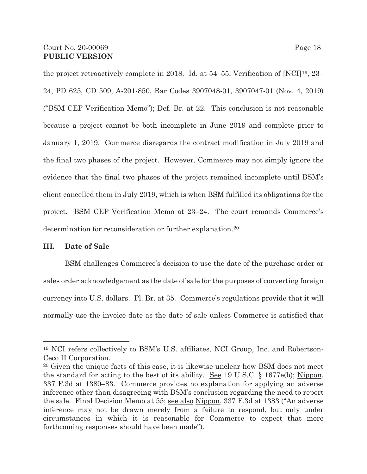the project retroactively complete in 2018. <u>Id.</u> at 54–55; Verification of [NCI]<sup>19</sup>, 23– 24, PD 625, CD 509, A-201-850, Bar Codes 3907048-01, 3907047-01 (Nov. 4, 2019) ("BSM CEP Verification Memo"); Def. Br. at 22. This conclusion is not reasonable because a project cannot be both incomplete in June 2019 and complete prior to January 1, 2019. Commerce disregards the contract modification in July 2019 and the final two phases of the project. However, Commerce may not simply ignore the evidence that the final two phases of the project remained incomplete until BSM's client cancelled them in July 2019, which is when BSM fulfilled its obligations for the project. BSM CEP Verification Memo at 23–24. The court remands Commerce's determination for reconsideration or further explanation.20

### **III. Date of Sale**

 $\overline{a}$ 

BSM challenges Commerce's decision to use the date of the purchase order or sales order acknowledgement as the date of sale for the purposes of converting foreign currency into U.S. dollars. Pl. Br. at 35. Commerce's regulations provide that it will normally use the invoice date as the date of sale unless Commerce is satisfied that

<sup>19</sup> NCI refers collectively to BSM's U.S. affiliates, NCI Group, Inc. and Robertson-Ceco II Corporation.

<sup>20</sup> Given the unique facts of this case, it is likewise unclear how BSM does not meet the standard for acting to the best of its ability. See 19 U.S.C. § 1677e(b); Nippon, 337 F.3d at 1380–83. Commerce provides no explanation for applying an adverse inference other than disagreeing with BSM's conclusion regarding the need to report the sale. Final Decision Memo at 55; see also Nippon, 337 F.3d at 1383 ("An adverse inference may not be drawn merely from a failure to respond, but only under circumstances in which it is reasonable for Commerce to expect that more forthcoming responses should have been made").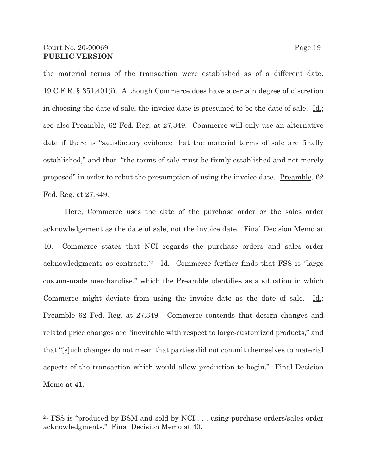the material terms of the transaction were established as of a different date. 19 C.F.R. § 351.401(i). Although Commerce does have a certain degree of discretion in choosing the date of sale, the invoice date is presumed to be the date of sale. Id.; see also Preamble, 62 Fed. Reg. at 27,349. Commerce will only use an alternative date if there is "satisfactory evidence that the material terms of sale are finally established," and that "the terms of sale must be firmly established and not merely proposed" in order to rebut the presumption of using the invoice date. Preamble, 62 Fed. Reg. at 27,349.

Here, Commerce uses the date of the purchase order or the sales order acknowledgement as the date of sale, not the invoice date. Final Decision Memo at 40. Commerce states that NCI regards the purchase orders and sales order acknowledgments as contracts.21 Id. Commerce further finds that FSS is "large custom-made merchandise," which the Preamble identifies as a situation in which Commerce might deviate from using the invoice date as the date of sale.  $\underline{\text{Id}}$ ; Preamble 62 Fed. Reg. at 27,349. Commerce contends that design changes and related price changes are "inevitable with respect to large-customized products," and that "[s]uch changes do not mean that parties did not commit themselves to material aspects of the transaction which would allow production to begin." Final Decision Memo at 41.

<sup>21</sup> FSS is "produced by BSM and sold by NCI . . . using purchase orders/sales order acknowledgments." Final Decision Memo at 40.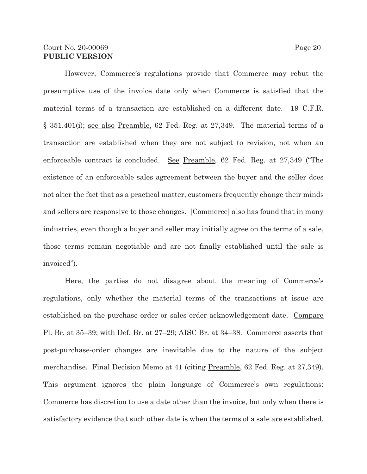### Court No. 20-00069 Page 20 **PUBLIC VERSION**

However, Commerce's regulations provide that Commerce may rebut the presumptive use of the invoice date only when Commerce is satisfied that the material terms of a transaction are established on a different date. 19 C.F.R. § 351.401(i); see also Preamble, 62 Fed. Reg. at 27,349. The material terms of a transaction are established when they are not subject to revision, not when an enforceable contract is concluded. See Preamble, 62 Fed. Reg. at 27,349 ("The existence of an enforceable sales agreement between the buyer and the seller does not alter the fact that as a practical matter, customers frequently change their minds and sellers are responsive to those changes. [Commerce] also has found that in many industries, even though a buyer and seller may initially agree on the terms of a sale, those terms remain negotiable and are not finally established until the sale is invoiced").

Here, the parties do not disagree about the meaning of Commerce's regulations, only whether the material terms of the transactions at issue are established on the purchase order or sales order acknowledgement date. Compare Pl. Br. at 35–39; with Def. Br. at 27–29; AISC Br. at 34–38. Commerce asserts that post-purchase-order changes are inevitable due to the nature of the subject merchandise. Final Decision Memo at 41 (citing Preamble, 62 Fed. Reg. at 27,349). This argument ignores the plain language of Commerce's own regulations: Commerce has discretion to use a date other than the invoice, but only when there is satisfactory evidence that such other date is when the terms of a sale are established.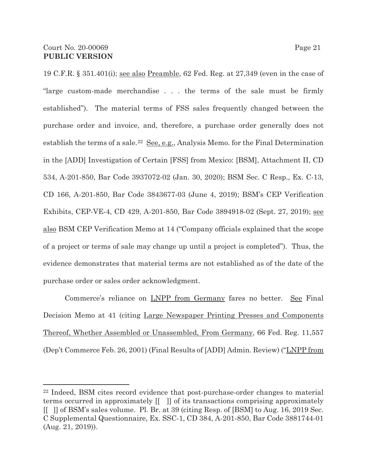19 C.F.R. § 351.401(i); see also Preamble, 62 Fed. Reg. at 27,349 (even in the case of "large custom-made merchandise . . . the terms of the sale must be firmly established"). The material terms of FSS sales frequently changed between the purchase order and invoice, and, therefore, a purchase order generally does not establish the terms of a sale.22 See, e.g., Analysis Memo. for the Final Determination in the [ADD] Investigation of Certain [FSS] from Mexico: [BSM], Attachment II, CD 534, A-201-850, Bar Code 3937072-02 (Jan. 30, 2020); BSM Sec. C Resp., Ex. C-13, CD 166, A-201-850, Bar Code 3843677-03 (June 4, 2019); BSM's CEP Verification Exhibits, CEP-VE-4, CD 429, A-201-850, Bar Code 3894918-02 (Sept. 27, 2019); see also BSM CEP Verification Memo at 14 ("Company officials explained that the scope of a project or terms of sale may change up until a project is completed"). Thus, the evidence demonstrates that material terms are not established as of the date of the purchase order or sales order acknowledgment.

Commerce's reliance on LNPP from Germany fares no better. See Final Decision Memo at 41 (citing Large Newspaper Printing Presses and Components Thereof, Whether Assembled or Unassembled, From Germany, 66 Fed. Reg. 11,557 (Dep't Commerce Feb. 26, 2001) (Final Results of [ADD] Admin. Review) ("LNPP from

<sup>22</sup> Indeed, BSM cites record evidence that post-purchase-order changes to material terms occurred in approximately [[ ]] of its transactions comprising approximately [[ ]] of BSM's sales volume. Pl. Br. at 39 (citing Resp. of [BSM] to Aug. 16, 2019 Sec. C Supplemental Questionnaire, Ex. SSC-1, CD 384, A-201-850, Bar Code 3881744-01 (Aug. 21, 2019)).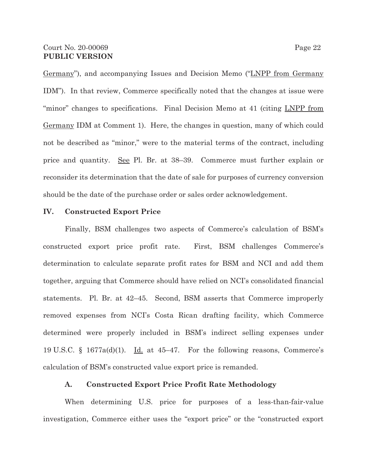Germany"), and accompanying Issues and Decision Memo ("LNPP from Germany IDM"). In that review, Commerce specifically noted that the changes at issue were "minor" changes to specifications. Final Decision Memo at 41 (citing LNPP from Germany IDM at Comment 1). Here, the changes in question, many of which could not be described as "minor," were to the material terms of the contract, including price and quantity. See Pl. Br. at 38–39. Commerce must further explain or reconsider its determination that the date of sale for purposes of currency conversion should be the date of the purchase order or sales order acknowledgement.

### **IV. Constructed Export Price**

Finally, BSM challenges two aspects of Commerce's calculation of BSM's constructed export price profit rate. First, BSM challenges Commerce's determination to calculate separate profit rates for BSM and NCI and add them together, arguing that Commerce should have relied on NCI's consolidated financial statements. Pl. Br. at 42–45. Second, BSM asserts that Commerce improperly removed expenses from NCI's Costa Rican drafting facility, which Commerce determined were properly included in BSM's indirect selling expenses under 19 U.S.C. § 1677a(d)(1). Id. at 45-47. For the following reasons, Commerce's calculation of BSM's constructed value export price is remanded.

### **A. Constructed Export Price Profit Rate Methodology**

When determining U.S. price for purposes of a less-than-fair-value investigation, Commerce either uses the "export price" or the "constructed export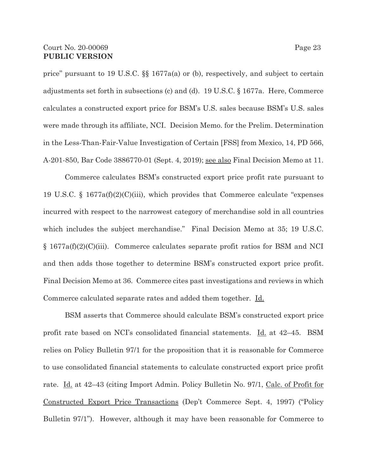price" pursuant to 19 U.S.C. §§ 1677a(a) or (b), respectively, and subject to certain adjustments set forth in subsections (c) and (d). 19 U.S.C. § 1677a. Here, Commerce calculates a constructed export price for BSM's U.S. sales because BSM's U.S. sales were made through its affiliate, NCI. Decision Memo. for the Prelim. Determination in the Less-Than-Fair-Value Investigation of Certain [FSS] from Mexico, 14, PD 566, A-201-850, Bar Code 3886770-01 (Sept. 4, 2019); see also Final Decision Memo at 11.

Commerce calculates BSM's constructed export price profit rate pursuant to 19 U.S.C. § 1677a(f)(2)(C)(iii), which provides that Commerce calculate "expenses incurred with respect to the narrowest category of merchandise sold in all countries which includes the subject merchandise." Final Decision Memo at 35; 19 U.S.C. § 1677a(f)(2)(C)(iii). Commerce calculates separate profit ratios for BSM and NCI and then adds those together to determine BSM's constructed export price profit. Final Decision Memo at 36. Commerce cites past investigations and reviews in which Commerce calculated separate rates and added them together. Id.

BSM asserts that Commerce should calculate BSM's constructed export price profit rate based on NCI's consolidated financial statements. Id. at 42–45. BSM relies on Policy Bulletin 97/1 for the proposition that it is reasonable for Commerce to use consolidated financial statements to calculate constructed export price profit rate. Id. at 42–43 (citing Import Admin. Policy Bulletin No. 97/1, Calc. of Profit for Constructed Export Price Transactions (Dep't Commerce Sept. 4, 1997) ("Policy Bulletin 97/1"). However, although it may have been reasonable for Commerce to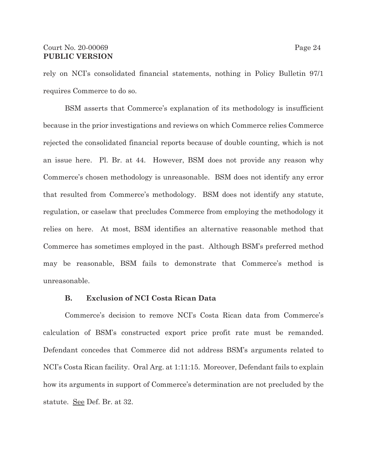## Court No. 20-00069 Page 24 **PUBLIC VERSION**

rely on NCI's consolidated financial statements, nothing in Policy Bulletin 97/1 requires Commerce to do so.

BSM asserts that Commerce's explanation of its methodology is insufficient because in the prior investigations and reviews on which Commerce relies Commerce rejected the consolidated financial reports because of double counting, which is not an issue here. Pl. Br. at 44. However, BSM does not provide any reason why Commerce's chosen methodology is unreasonable. BSM does not identify any error that resulted from Commerce's methodology. BSM does not identify any statute, regulation, or caselaw that precludes Commerce from employing the methodology it relies on here. At most, BSM identifies an alternative reasonable method that Commerce has sometimes employed in the past. Although BSM's preferred method may be reasonable, BSM fails to demonstrate that Commerce's method is unreasonable.

#### **B. Exclusion of NCI Costa Rican Data**

Commerce's decision to remove NCI's Costa Rican data from Commerce's calculation of BSM's constructed export price profit rate must be remanded. Defendant concedes that Commerce did not address BSM's arguments related to NCI's Costa Rican facility. Oral Arg. at 1:11:15. Moreover, Defendant fails to explain how its arguments in support of Commerce's determination are not precluded by the statute. See Def. Br. at 32.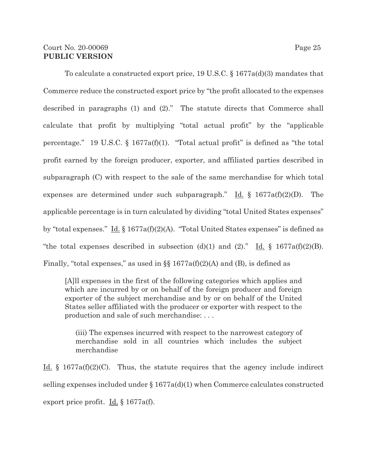## Court No. 20-00069 Page 25 **PUBLIC VERSION**

To calculate a constructed export price, 19 U.S.C. § 1677a(d)(3) mandates that Commerce reduce the constructed export price by "the profit allocated to the expenses described in paragraphs (1) and (2)." The statute directs that Commerce shall calculate that profit by multiplying "total actual profit" by the "applicable percentage." 19 U.S.C. § 1677a(f)(1). "Total actual profit" is defined as "the total profit earned by the foreign producer, exporter, and affiliated parties described in subparagraph (C) with respect to the sale of the same merchandise for which total expenses are determined under such subparagraph." Id.  $\S$  1677a(f)(2)(D). The applicable percentage is in turn calculated by dividing "total United States expenses" by "total expenses."  $\underline{Id}$ . § 1677a(f)(2)(A). "Total United States expenses" is defined as "the total expenses described in subsection (d)(1) and (2)." Id.  $\S$  1677a(f)(2)(B). Finally, "total expenses," as used in  $\S$   $1677a(f)(2)(A)$  and (B), is defined as

[A]ll expenses in the first of the following categories which applies and which are incurred by or on behalf of the foreign producer and foreign exporter of the subject merchandise and by or on behalf of the United States seller affiliated with the producer or exporter with respect to the production and sale of such merchandise: . . .

(iii) The expenses incurred with respect to the narrowest category of merchandise sold in all countries which includes the subject merchandise

<u>Id.</u> § 1677a(f)(2)(C). Thus, the statute requires that the agency include indirect selling expenses included under § 1677a(d)(1) when Commerce calculates constructed export price profit. Id. § 1677a(f).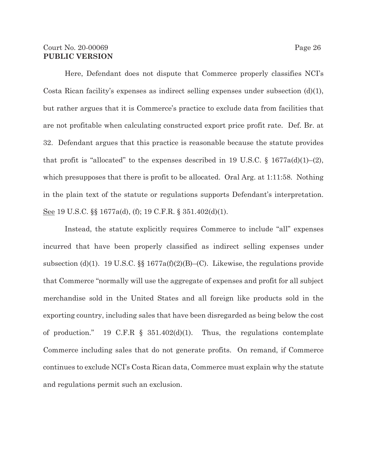### Court No. 20-00069 Page 26 **PUBLIC VERSION**

Here, Defendant does not dispute that Commerce properly classifies NCI's Costa Rican facility's expenses as indirect selling expenses under subsection (d)(1), but rather argues that it is Commerce's practice to exclude data from facilities that are not profitable when calculating constructed export price profit rate. Def. Br. at 32. Defendant argues that this practice is reasonable because the statute provides that profit is "allocated" to the expenses described in 19 U.S.C. § 1677a(d)(1)–(2), which presupposes that there is profit to be allocated. Oral Arg. at 1:11:58. Nothing in the plain text of the statute or regulations supports Defendant's interpretation. See 19 U.S.C. §§ 1677a(d), (f); 19 C.F.R. § 351.402(d)(1).

Instead, the statute explicitly requires Commerce to include "all" expenses incurred that have been properly classified as indirect selling expenses under subsection (d)(1). 19 U.S.C.  $\S$  1677a(f)(2)(B)–(C). Likewise, the regulations provide that Commerce "normally will use the aggregate of expenses and profit for all subject merchandise sold in the United States and all foreign like products sold in the exporting country, including sales that have been disregarded as being below the cost of production." 19 C.F.R  $\S$  351.402(d)(1). Thus, the regulations contemplate Commerce including sales that do not generate profits. On remand, if Commerce continues to exclude NCI's Costa Rican data, Commerce must explain why the statute and regulations permit such an exclusion.